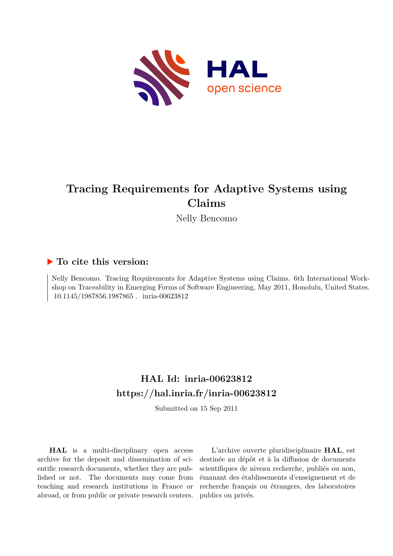

# **Tracing Requirements for Adaptive Systems using Claims**

Nelly Bencomo

### **To cite this version:**

Nelly Bencomo. Tracing Requirements for Adaptive Systems using Claims. 6th International Workshop on Traceability in Emerging Forms of Software Engineering, May 2011, Honolulu, United States. 10.1145/1987856.1987865. inria-00623812

# **HAL Id: inria-00623812 <https://hal.inria.fr/inria-00623812>**

Submitted on 15 Sep 2011

**HAL** is a multi-disciplinary open access archive for the deposit and dissemination of scientific research documents, whether they are published or not. The documents may come from teaching and research institutions in France or abroad, or from public or private research centers.

L'archive ouverte pluridisciplinaire **HAL**, est destinée au dépôt et à la diffusion de documents scientifiques de niveau recherche, publiés ou non, émanant des établissements d'enseignement et de recherche français ou étrangers, des laboratoires publics ou privés.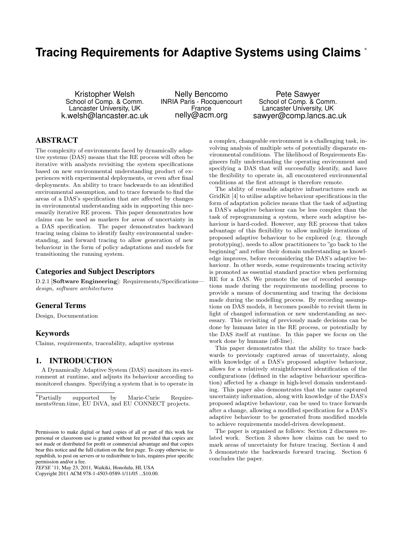## **Tracing Requirements for Adaptive Systems using Claims** <sup>∗</sup>

Kristopher Welsh School of Comp. & Comm. Lancaster University, UK k.welsh@lancaster.ac.uk

Nelly Bencomo INRIA Paris - Rocquencourt France nelly@acm.org

Pete Sawyer School of Comp. & Comm. Lancaster University, UK sawyer@comp.lancs.ac.uk

### ABSTRACT

The complexity of environments faced by dynamically adaptive systems (DAS) means that the RE process will often be iterative with analysts revisiting the system specifications based on new environmental understanding product of experiences with experimental deployments, or even after final deployments. An ability to trace backwards to an identified environmental assumption, and to trace forwards to find the areas of a DAS's specification that are affected by changes in environmental understanding aids in supporting this necessarily iterative RE process. This paper demonstrates how claims can be used as markers for areas of uncertainty in a DAS specification. The paper demonstrates backward tracing using claims to identify faulty environmental understanding, and forward tracing to allow generation of new behaviour in the form of policy adaptations and models for transitioning the running system.

#### Categories and Subject Descriptors

D.2.1 [Software Engineering]: Requirements/Specificationsdesign, software architectures

#### General Terms

Design, Documentation

#### Keywords

Claims, requirements, traceability, adaptive systems

#### 1. INTRODUCTION

A Dynamically Adaptive System (DAS) monitors its environment at runtime, and adjusts its behaviour according to monitored changes. Specifying a system that is to operate in

<sup>∗</sup>Partially supported by Marie-Curie Requirements@run.time, EU DiVA, and EU CONNECT projects.

*TEFSE* '11, May 23, 2011, Waikiki, Honolulu, HI, USA

Copyright 2011 ACM 978-1-4503-0589-1/11/05 ...\$10.00.

a complex, changeable environment is a challenging task, involving analysis of multiple sets of potentially disparate environmental conditions. The likelihood of Requirements Engineers fully understanding the operating environment and specifying a DAS that will successfully identify, and have the flexibility to operate in, all encountered environmental conditions at the first attempt is therefore remote.

The ability of reusable adaptive infrastructures such as GridKit [4] to utilise adaptive behaviour specifications in the form of adaptation policies means that the task of adjusting a DAS's adaptive behaviour can be less complex than the task of reprogramming a system, where such adaptive behaviour is hard-coded. However, any RE process that takes advantage of this flexibility to allow multiple iterations of proposed adaptive behaviour to be explored (e.g. through prototyping), needs to allow practitioners to "go back to the beginning" and refine their domain understanding as knowledge improves, before reconsidering the DAS's adaptive behaviour. In other words, some requirements tracing activity is promoted as essential standard practice when performing RE for a DAS. We promote the use of recorded assumptions made during the requirements modelling process to provide a means of documenting and tracing the decisions made during the modelling process. By recording assumptions on DAS models, it becomes possible to revisit them in light of changed information or new understanding as necessary. This revisiting of previously made decisions can be done by humans later in the RE process, or potentially by the DAS itself at runtime. In this paper we focus on the work done by humans (off-line).

This paper demonstrates that the ability to trace backwards to previously captured areas of uncertainty, along with knowledge of a DAS's proposed adaptive behaviour, allows for a relatively straightforward identification of the configurations (defined in the adaptive behaviour specification) affected by a change in high-level domain understanding. This paper also demonstrates that the same captured uncertainty information, along with knowledge of the DAS's proposed adaptive behaviour, can be used to trace forwards after a change, allowing a modified specification for a DAS's adaptive behaviour to be generated from modified models to achieve requirements model-driven development.

The paper is organised as follows: Section 2 discusses related work. Section 3 shows how claims can be used to mark areas of uncertainty for future tracing. Section 4 and 5 demonstrate the backwards forward tracing. Section 6 concludes the paper.

Permission to make digital or hard copies of all or part of this work for personal or classroom use is granted without fee provided that copies are not made or distributed for profit or commercial advantage and that copies bear this notice and the full citation on the first page. To copy otherwise, to republish, to post on servers or to redistribute to lists, requires prior specific permission and/or a fee.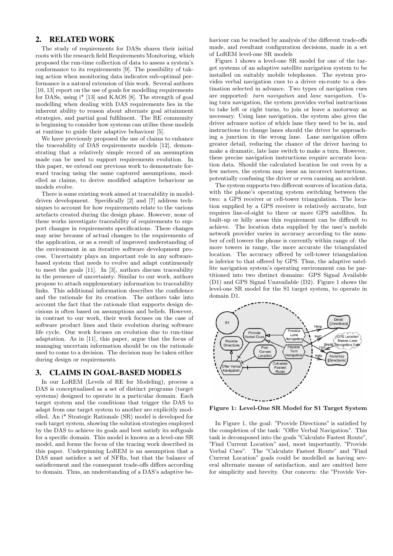#### 2. RELATED WORK

The study of requirements for DASs shares their initial roots with the research field Requirements Monitoring, which proposed the run-time collection of data to assess a system's conformance to its requirements [9]. The possibility of taking action when monitoring data indicates sub-optimal performance is a natural extension of this work. Several authors [10, 13] report on the use of goals for modelling requirements for DASs, using i\* [13] and KAOS [8]. The strength of goal modelling when dealing with DAS requirements lies in the inherent ability to reason about alternate goal attainment strategies, and partial goal fulfilment. The RE community is beginning to consider how systems can utilise these models at runtime to guide their adaptive behaviour [5].

We have previously proposed the use of claims to enhance the traceability of DAS requirements models [12], demonstrating that a relatively simple record of an assumption made can be used to support requirements evolution. In this paper, we extend our previous work to demonstrate forward tracing using the same captured assumptions, modelled as claims, to derive modified adaptive behaviour as models evolve.

There is some existing work aimed at traceability in modeldriven development. Specifically [2] and [7] address techniques to account for how requirements relate to the various artefacts created during the design phase. However, none of these works investigate traceability of requirements to support changes in requirements specifications. These changes may arise because of actual changes to the requirements of the application, or as a result of improved understanding of the environment in an iterative software development process. Uncertainty plays an important role in any softwarebased system that needs to evolve and adapt continuously to meet the goals [11]. In [3], authors discuss traceability in the presence of uncertainty. Similar to our work, authors propose to attach supplementary information to traceability links. This additional information describes the confidence and the rationale for its creation. The authors take into account the fact that the rationale that supports design decisions is often based on assumptions and beliefs. However, in contrast to our work, their work focuses on the case of software product lines and their evolution during software life cycle. Our work focuses on evolution due to run-time adaptation. As in [11], this paper, argue that the focus of managing uncertain information should be on the rationale used to come to a decision. The decision may be taken either during design or requirements.

#### 3. CLAIMS IN GOAL-BASED MODELS

In our LoREM (Levels of RE for Modeling), process a DAS is conceptualised as a set of distinct programs (target systems) designed to operate in a particular domain. Each target system and the conditions that trigger the DAS to adapt from one target system to another are explicitly modelled. An i\* Strategic Rationale (SR) model is developed for each target system, showing the solution strategies employed by the DAS to achieve its goals and best satisfy its softgoals for a specific domain. This model is known as a level-one SR model, and forms the focus of the tracing work described in this paper. Underpinning LoREM is an assumption that a DAS must satisfice a set of NFRs, but that the balance of satisficement and the consequent trade-offs differs according to domain. Thus, an understanding of a DAS's adaptive be-

haviour can be reached by analysis of the different trade-offs made, and resultant configuration decisions, made in a set of LoREM level-one SR models

Figure 1 shows a level-one SR model for one of the target systems of an adaptive satellite navigation system to be installed on suitably mobile telephones. The system provides verbal navigation cues to a driver en-route to a destination selected in advance. Two types of navigation cues are supported: turn navigation and lane navigation. Using turn navigation, the system provides verbal instructions to take left or right turns, to join or leave a motorway as necessary. Using lane navigation, the system also gives the driver advance notice of which lane they need to be in, and instructions to change lanes should the driver be approaching a junction in the wrong lane. Lane navigation offers greater detail, reducing the chance of the driver having to make a dramatic, late lane switch to make a turn. However, these precise navigation instructions require accurate location data. Should the calculated location be out even by a few meters, the system may issue an incorrect instructions, potentially confusing the driver or even causing an accident.

The system supports two different sources of location data, with the phone's operating system switching between the two: a GPS receiver or cell-tower triangulation. The location supplied by a GPS receiver is relatively accurate, but requires line-of-sight to three or more GPS satellites. In built-up or hilly areas this requirement can be difficult to achieve. The location data supplied by the user's mobile network provider varies in accuracy according to the number of cell towers the phone is currently within range of: the more towers in range, the more accurate the triangulated location. The accuracy offered by cell-tower triangulation is inferior to that offered by GPS. Thus, the adaptive satellite navigation system's operating environment can be partitioned into two distinct domains: GPS Signal Available (D1) and GPS Signal Unavailable (D2). Figure 1 shows the level-one SR model for the S1 target system, to operate in domain D1.



Figure 1: Level-One SR Model for S1 Target System

In Figure 1, the goal: "Provide Directions" is satisfied by the completion of the task: "Offer Verbal Navigation". This task is decomposed into the goals "Calculate Fastest Route", "Find Current Location" and, most importantly, "Provide Verbal Cues". The "Calculate Fastest Route" and "Find Current Location" goals could be modelled as having several alternate means of satisfaction, and are omitted here for simplicity and brevity. Our concern: the "Provide Ver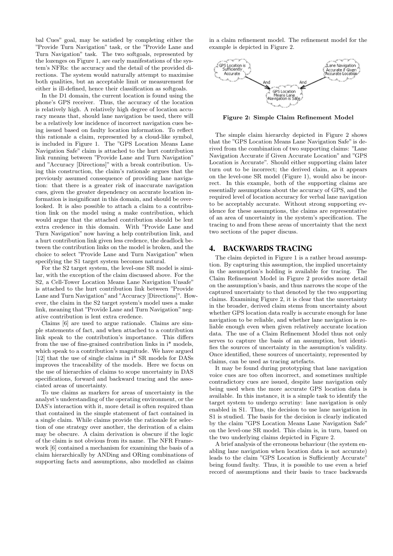bal Cues" goal, may be satisfied by completing either the "Provide Turn Navigation" task, or the "Provide Lane and Turn Navigation" task. The two softgoals, represented by the lozenges on Figure 1, are early manifestations of the system's NFRs: the accuracy and the detail of the provided directions. The system would naturally attempt to maximise both qualities, but an acceptable limit or measurement for either is ill-defined, hence their classification as softgoals.

In the D1 domain, the current location is found using the phone's GPS receiver. Thus, the accuracy of the location is relatively high. A relatively high degree of location accuracy means that, should lane navigation be used, there will be a relatively low incidence of incorrect navigation cues being issued based on faulty location information. To reflect this rationale a claim, represented by a cloud-like symbol, is included in Figure 1. The "GPS Location Means Lane Navigation Safe" claim is attached to the hurt contribution link running between "Provide Lane and Turn Navigation" and "Accuracy [Directions]" with a break contribution. Using this construction, the claim's rationale argues that the previously assumed consequence of providing lane navigation: that there is a greater risk of inaccurate navigation cues, given the greater dependency on accurate location information is insignificant in this domain, and should be overlooked. It is also possible to attach a claim to a contribution link on the model using a make contribution, which would argue that the attached contribution should be lent extra credence in this domain. With "Provide Lane and Turn Navigation" now having a help contribution link, and a hurt contribution link given less credence, the deadlock between the contribution links on the model is broken, and the choice to select "Provide Lane and Turn Navigation" when specifying the S1 target system becomes natural.

For the S2 target system, the level-one SR model is similar, with the exception of the claim discussed above. For the S2, a Cell-Tower Location Means Lane Navigation Unsafe" is attached to the hurt contribution link between "Provide Lane and Turn Navigation"and "Accuracy [Directions]". However, the claim in the S2 target system's model uses a make link, meaning that "Provide Lane and Turn Navigation" negative contribution is lent extra credence.

Claims [6] are used to argue rationale. Claims are simple statements of fact, and when attached to a contribution link speak to the contribution's importance. This differs from the use of fine-grained contribution links in i\* models, which speak to a contribution's magnitude. We have argued [12] that the use of single claims in i\* SR models for DASs improves the traceability of the models. Here we focus on the use of hierarchies of claims to scope uncertainty in DAS specifications, forward and backward tracing and the associated areas of uncertainty.

To use claims as markers for areas of uncertainty in the analyst's understanding of the operating environment, or the DAS's interaction with it, more detail is often required than that contained in the simple statement of fact contained in a single claim. While claims provide the rationale for selection of one strategy over another, the derivation of a claim may be obscure. A claim derivation is obscure if the logic of the claim is not obvious from its name. The NFR Framework [6] contained a mechanism for examining the basis of a claim hierarchically by ANDing and ORing combinations of supporting facts and assumptions, also modelled as claims in a claim refinement model. The refinement model for the example is depicted in Figure 2.



Figure 2: Simple Claim Refinement Model

The simple claim hierarchy depicted in Figure 2 shows that the "GPS Location Means Lane Navigation Safe" is derived from the combination of two supporting claims: "Lane Navigation Accurate if Given Accurate Location" and "GPS Location is Accurate". Should either supporting claim later turn out to be incorrect; the derived claim, as it appears on the level-one SR model (Figure 1), would also be incorrect. In this example, both of the supporting claims are essentially assumptions about the accuracy of GPS, and the required level of location accuracy for verbal lane navigation to be acceptably accurate. Without strong supporting evidence for these assumptions, the claims are representative of an area of uncertainty in the system's specification. The tracing to and from these areas of uncertainty that the next two sections of the paper discuss.

#### 4. BACKWARDS TRACING

The claim depicted in Figure 1 is a rather broad assumption. By capturing this assumption, the implied uncertainty in the assumption's holding is available for tracing. The Claim Refinement Model in Figure 2 provides more detail on the assumption's basis, and thus narrows the scope of the captured uncertainty to that denoted by the two supporting claims. Examining Figure 2, it is clear that the uncertainty in the broader, derived claim stems from uncertainty about whether GPS location data really is accurate enough for lane navigation to be reliable, and whether lane navigation is reliable enough even when given relatively accurate location data. The use of a Claim Refinement Model thus not only serves to capture the basis of an assumption, but identifies the sources of uncertainty in the assumption's validity. Once identified, these sources of uncertainty, represented by claims, can be used as tracing artefacts.

It may be found during prototyping that lane navigation voice cues are too often incorrect, and sometimes multiple contradictory cues are issued, despite lane navigation only being used when the more accurate GPS location data is available. In this instance, it is a simple task to identify the target system to undergo scrutiny: lane navigation is only enabled in S1. Thus, the decision to use lane navigation in S1 is studied. The basis for the decision is clearly indicated by the claim "GPS Location Means Lane Navigation Safe" on the level-one SR model. This claim is, in turn, based on the two underlying claims depicted in Figure 2.

A brief analysis of the erroneous behaviour (the system enabling lane navigation when location data is not accurate) leads to the claim "GPS Location is Sufficiently Accurate" being found faulty. Thus, it is possible to use even a brief record of assumptions and their basis to trace backwards